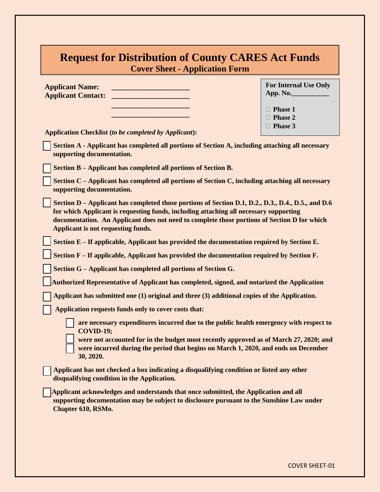| <b>Request for Distribution of County CARES Act Funds</b><br><b>Cover Sheet - Application Form</b>                                                                                                                                                                                                                               |                                          |  |  |
|----------------------------------------------------------------------------------------------------------------------------------------------------------------------------------------------------------------------------------------------------------------------------------------------------------------------------------|------------------------------------------|--|--|
| <b>Applicant Name:</b><br><b>Applicant Contact:</b>                                                                                                                                                                                                                                                                              | <b>For Internal Use Only</b><br>App. No. |  |  |
|                                                                                                                                                                                                                                                                                                                                  | $\Box$ Phase 1                           |  |  |
|                                                                                                                                                                                                                                                                                                                                  | $\Box$ Phase 2<br>$\Box$ Phase 3         |  |  |
| <b>Application Checklist (to be completed by Applicant):</b>                                                                                                                                                                                                                                                                     |                                          |  |  |
| Section A - Applicant has completed all portions of Section A, including attaching all necessary<br>supporting documentation.                                                                                                                                                                                                    |                                          |  |  |
| Section B - Applicant has completed all portions of Section B.                                                                                                                                                                                                                                                                   |                                          |  |  |
| Section C - Applicant has completed all portions of Section C, including attaching all necessary<br>supporting documentation.                                                                                                                                                                                                    |                                          |  |  |
| Section D – Applicant has completed those portions of Section D.1, D.2., D.3., D.4., D.5., and D.6<br>for which Applicant is requesting funds, including attaching all necessary supporting<br>documentation. An Applicant does not need to complete those portions of Section D for which<br>Applicant is not requesting funds. |                                          |  |  |
| Section E - If applicable, Applicant has provided the documentation required by Section E.                                                                                                                                                                                                                                       |                                          |  |  |
| Section F – If applicable, Applicant has provided the documentation required by Section F.                                                                                                                                                                                                                                       |                                          |  |  |
| Section G - Applicant has completed all portions of Section G.                                                                                                                                                                                                                                                                   |                                          |  |  |
| <b>Authorized Representative of Applicant has completed, signed, and notarized the Application</b>                                                                                                                                                                                                                               |                                          |  |  |
| Applicant has submitted one (1) original and three (3) additional copies of the Application.                                                                                                                                                                                                                                     |                                          |  |  |
| Application requests funds only to cover costs that:                                                                                                                                                                                                                                                                             |                                          |  |  |
| are necessary expenditures incurred due to the public health emergency with respect to<br><b>COVID-19;</b>                                                                                                                                                                                                                       |                                          |  |  |
| were not accounted for in the budget most recently approved as of March 27, 2020; and<br>were incurred during the period that begins on March 1, 2020, and ends on December<br>30, 2020.                                                                                                                                         |                                          |  |  |
| Applicant has not checked a box indicating a disqualifying condition or listed any other<br>disqualifying condition in the Application.                                                                                                                                                                                          |                                          |  |  |
| Applicant acknowledges and understands that once submitted, the Application and all<br>supporting documentation may be subject to disclosure pursuant to the Sunshine Law under<br>Chapter 610, RSMo.                                                                                                                            |                                          |  |  |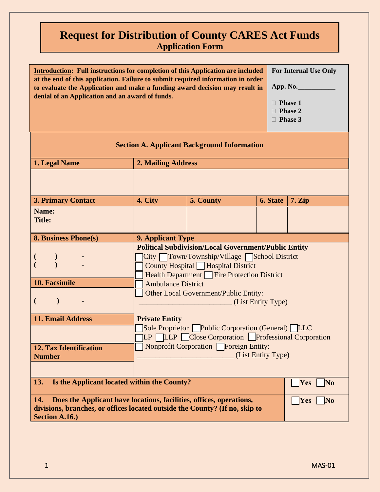| Introduction: Full instructions for completion of this Application are included For Internal Use Only |                |
|-------------------------------------------------------------------------------------------------------|----------------|
| at the end of this application. Failure to submit required information in order                       |                |
| to evaluate the Application and make a funding award decision may result in                           | App. No.       |
| denial of an Application and an award of funds.                                                       |                |
|                                                                                                       | <b>Phase 1</b> |

| <b>Section A. Applicant Background Information</b>                          |                                                                                                                                                                                                                                                                                          |           |                 |                  |
|-----------------------------------------------------------------------------|------------------------------------------------------------------------------------------------------------------------------------------------------------------------------------------------------------------------------------------------------------------------------------------|-----------|-----------------|------------------|
| 1. Legal Name                                                               | <b>2. Mailing Address</b>                                                                                                                                                                                                                                                                |           |                 |                  |
|                                                                             |                                                                                                                                                                                                                                                                                          |           |                 |                  |
| <b>3. Primary Contact</b>                                                   | 4. City                                                                                                                                                                                                                                                                                  | 5. County | <b>6. State</b> | 7. Zip           |
| Name:<br><b>Title:</b>                                                      |                                                                                                                                                                                                                                                                                          |           |                 |                  |
| <b>8. Business Phone(s)</b>                                                 | <b>9. Applicant Type</b>                                                                                                                                                                                                                                                                 |           |                 |                  |
| 10. Facsimile<br>$\mathcal{E}$                                              | <b>Political Subdivision/Local Government/Public Entity</b><br>City Town/Township/Village School District<br>County Hospital Hospital District<br>Health Department Fire Protection District<br><b>Ambulance District</b><br>Other Local Government/Public Entity:<br>(List Entity Type) |           |                 |                  |
| <b>11. Email Address</b>                                                    | <b>Private Entity</b>                                                                                                                                                                                                                                                                    |           |                 |                  |
|                                                                             | Sole Proprietor Public Corporation (General) LLC<br><b>LP LLP Close Corporation Professional Corporation</b>                                                                                                                                                                             |           |                 |                  |
| <b>12. Tax Identification</b><br><b>Number</b>                              | <b>Nonprofit Corporation Foreign Entity:</b><br>(List Entity Type)                                                                                                                                                                                                                       |           |                 |                  |
|                                                                             |                                                                                                                                                                                                                                                                                          |           |                 |                  |
| Is the Applicant located within the County?<br>13.<br>Yes<br>N <sub>0</sub> |                                                                                                                                                                                                                                                                                          |           |                 |                  |
| 14.<br>Does the Applicant have locations, facilities, offices, operations,  |                                                                                                                                                                                                                                                                                          |           |                 | No<br><b>Yes</b> |

**divisions, branches, or offices located outside the County? (If no, skip to** 

 **Phase 2 Phase 3**

**Section A.16.)**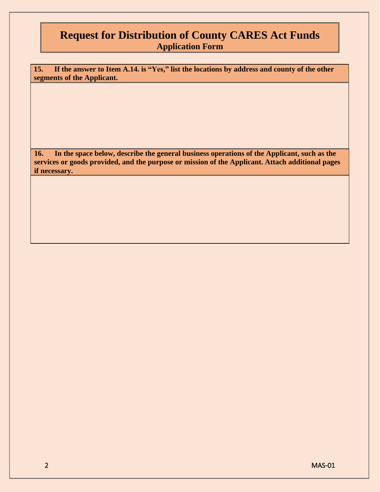**15. If the answer to Item A.14. is "Yes," list the locations by address and county of the other segments of the Applicant.**

**16. In the space below, describe the general business operations of the Applicant, such as the services or goods provided, and the purpose or mission of the Applicant. Attach additional pages if necessary.**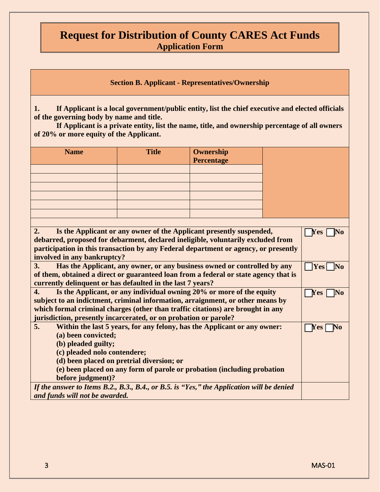**Section B. Applicant - Representatives/Ownership**

**1. If Applicant is a local government/public entity, list the chief executive and elected officials of the governing body by name and title.**

**If Applicant is a private entity, list the name, title, and ownership percentage of all owners of 20% or more equity of the Applicant.**

| <b>Name</b> | <b>Title</b> | <b>Ownership</b><br><b>Percentage</b> |
|-------------|--------------|---------------------------------------|
|             |              |                                       |
|             |              |                                       |
|             |              |                                       |
|             |              |                                       |
|             |              |                                       |
|             |              |                                       |

| 2.<br>Is the Applicant or any owner of the Applicant presently suspended,                 | Yes  |
|-------------------------------------------------------------------------------------------|------|
| debarred, proposed for debarment, declared ineligible, voluntarily excluded from          |      |
| participation in this transaction by any Federal department or agency, or presently       |      |
| involved in any bankruptcy?                                                               |      |
| Has the Applicant, any owner, or any business owned or controlled by any<br>3.            | Yes  |
| of them, obtained a direct or guaranteed loan from a federal or state agency that is      |      |
| currently delinquent or has defaulted in the last 7 years?                                |      |
| Is the Applicant, or any individual owning 20% or more of the equity<br>4.                | Y es |
| subject to an indictment, criminal information, arraignment, or other means by            |      |
| which formal criminal charges (other than traffic citations) are brought in any           |      |
| jurisdiction, presently incarcerated, or on probation or parole?                          |      |
| 5.<br>Within the last 5 years, for any felony, has the Applicant or any owner:            | 'es  |
| (a) been convicted;                                                                       |      |
| (b) pleaded guilty;                                                                       |      |
| (c) pleaded nolo contendere;                                                              |      |
| (d) been placed on pretrial diversion; or                                                 |      |
| (e) been placed on any form of parole or probation (including probation                   |      |
| before judgment)?                                                                         |      |
| If the answer to Items B.2., B.3., B.4., or B.5. is "Yes," the Application will be denied |      |
| and funds will not be awarded.                                                            |      |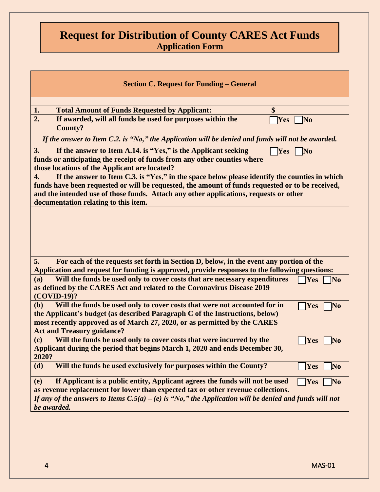| <b>Section C. Request for Funding – General</b>                                                                                                                                                                                                                                                                                          |                                      |  |  |
|------------------------------------------------------------------------------------------------------------------------------------------------------------------------------------------------------------------------------------------------------------------------------------------------------------------------------------------|--------------------------------------|--|--|
|                                                                                                                                                                                                                                                                                                                                          |                                      |  |  |
| \$<br>1.<br><b>Total Amount of Funds Requested by Applicant:</b>                                                                                                                                                                                                                                                                         |                                      |  |  |
| 2.<br>If awarded, will all funds be used for purposes within the<br><b>Yes</b><br><b>County?</b>                                                                                                                                                                                                                                         | N <sub>0</sub>                       |  |  |
| If the answer to Item C.2. is "No," the Application will be denied and funds will not be awarded.                                                                                                                                                                                                                                        |                                      |  |  |
| If the answer to Item A.14. is "Yes," is the Applicant seeking<br>3.<br>Yes<br>funds or anticipating the receipt of funds from any other counties where<br>those locations of the Applicant are located?                                                                                                                                 | $\bf No$                             |  |  |
| If the answer to Item C.3. is "Yes," in the space below please identify the counties in which<br>4.<br>funds have been requested or will be requested, the amount of funds requested or to be received,<br>and the intended use of those funds. Attach any other applications, requests or other<br>documentation relating to this item. |                                      |  |  |
|                                                                                                                                                                                                                                                                                                                                          |                                      |  |  |
| For each of the requests set forth in Section D, below, in the event any portion of the<br>5.                                                                                                                                                                                                                                            |                                      |  |  |
| Application and request for funding is approved, provide responses to the following questions:                                                                                                                                                                                                                                           |                                      |  |  |
| Will the funds be used only to cover costs that are necessary expenditures<br>(a)<br>as defined by the CARES Act and related to the Coronavirus Disease 2019<br>(COVID-19)?                                                                                                                                                              | <b>Yes</b><br>$\overline{\text{No}}$ |  |  |
| Will the funds be used only to cover costs that were not accounted for in<br>(b)<br>the Applicant's budget (as described Paragraph C of the Instructions, below)<br>most recently approved as of March 27, 2020, or as permitted by the CARES<br><b>Act and Treasury guidance?</b>                                                       | <b>Yes</b><br>$\neg$ No              |  |  |
| Will the funds be used only to cover costs that were incurred by the<br>(c)<br>Applicant during the period that begins March 1, 2020 and ends December 30,<br>2020?                                                                                                                                                                      | Yes<br>No                            |  |  |
| Will the funds be used exclusively for purposes within the County?<br>(d)                                                                                                                                                                                                                                                                | Yes<br><b>No</b>                     |  |  |
| If Applicant is a public entity, Applicant agrees the funds will not be used<br>(e)<br>as revenue replacement for lower than expected tax or other revenue collections.                                                                                                                                                                  | <b>Yes</b><br>N <sub>0</sub>         |  |  |
| If any of the answers to Items $C.5(a) - (e)$ is "No," the Application will be denied and funds will not<br>be awarded.                                                                                                                                                                                                                  |                                      |  |  |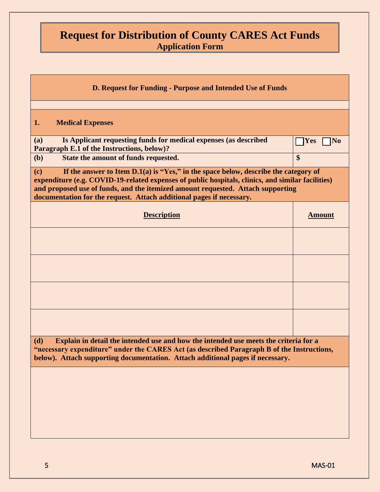| D. Request for Funding - Purpose and Intended Use of Funds                                                                                                                                                                                                                                                                                                   |                                        |  |
|--------------------------------------------------------------------------------------------------------------------------------------------------------------------------------------------------------------------------------------------------------------------------------------------------------------------------------------------------------------|----------------------------------------|--|
| 1.<br><b>Medical Expenses</b>                                                                                                                                                                                                                                                                                                                                |                                        |  |
| Is Applicant requesting funds for medical expenses (as described<br>(a)<br>Paragraph E.1 of the Instructions, below)?                                                                                                                                                                                                                                        | $\gamma$ Yes<br>$\overline{\text{No}}$ |  |
| State the amount of funds requested.<br>(b)                                                                                                                                                                                                                                                                                                                  | $\boldsymbol{\$}$                      |  |
| If the answer to Item $D.1(a)$ is "Yes," in the space below, describe the category of<br>(c)<br>expenditure (e.g. COVID-19-related expenses of public hospitals, clinics, and similar facilities)<br>and proposed use of funds, and the itemized amount requested. Attach supporting<br>documentation for the request. Attach additional pages if necessary. |                                        |  |
| <b>Description</b>                                                                                                                                                                                                                                                                                                                                           | <b>Amount</b>                          |  |
|                                                                                                                                                                                                                                                                                                                                                              |                                        |  |
|                                                                                                                                                                                                                                                                                                                                                              |                                        |  |
|                                                                                                                                                                                                                                                                                                                                                              |                                        |  |
|                                                                                                                                                                                                                                                                                                                                                              |                                        |  |
| Explain in detail the intended use and how the intended use meets the criteria for a<br>(d)<br>"necessary expenditure" under the CARES Act (as described Paragraph B of the Instructions,<br>below). Attach supporting documentation. Attach additional pages if necessary.                                                                                  |                                        |  |
|                                                                                                                                                                                                                                                                                                                                                              |                                        |  |
|                                                                                                                                                                                                                                                                                                                                                              |                                        |  |
|                                                                                                                                                                                                                                                                                                                                                              |                                        |  |
|                                                                                                                                                                                                                                                                                                                                                              |                                        |  |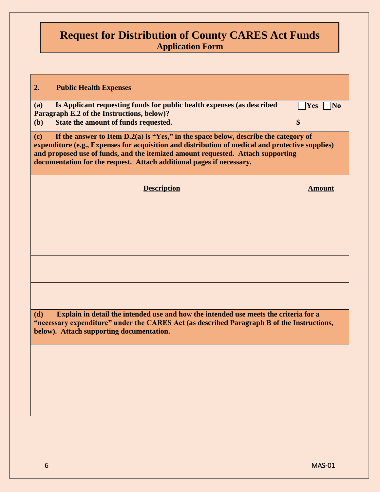| 2.<br><b>Public Health Expenses</b>                                                              |                  |
|--------------------------------------------------------------------------------------------------|------------------|
|                                                                                                  |                  |
| Is Applicant requesting funds for public health expenses (as described<br>(a)                    | Yes<br>$\mid$ No |
| Paragraph E.2 of the Instructions, below)?                                                       |                  |
| State the amount of funds requested.<br>(b)                                                      | \$               |
| If the answer to Item $D.2(a)$ is "Yes," in the space below, describe the category of<br>(c)     |                  |
| expenditure (e.g., Expenses for acquisition and distribution of medical and protective supplies) |                  |
| and proposed use of funds, and the itemized amount requested. Attach supporting                  |                  |
| documentation for the request. Attach additional pages if necessary.                             |                  |
|                                                                                                  |                  |
| <b>Description</b>                                                                               | <b>Amount</b>    |
|                                                                                                  |                  |
|                                                                                                  |                  |
|                                                                                                  |                  |
|                                                                                                  |                  |
|                                                                                                  |                  |
|                                                                                                  |                  |
|                                                                                                  |                  |
|                                                                                                  |                  |
|                                                                                                  |                  |
|                                                                                                  |                  |
|                                                                                                  |                  |
| Explain in detail the intended use and how the intended use meets the criteria for a<br>(d)      |                  |
| "necessary expenditure" under the CARES Act (as described Paragraph B of the Instructions,       |                  |
| below). Attach supporting documentation.                                                         |                  |
|                                                                                                  |                  |
|                                                                                                  |                  |
|                                                                                                  |                  |
|                                                                                                  |                  |
|                                                                                                  |                  |
|                                                                                                  |                  |
|                                                                                                  |                  |
|                                                                                                  |                  |
|                                                                                                  |                  |
|                                                                                                  |                  |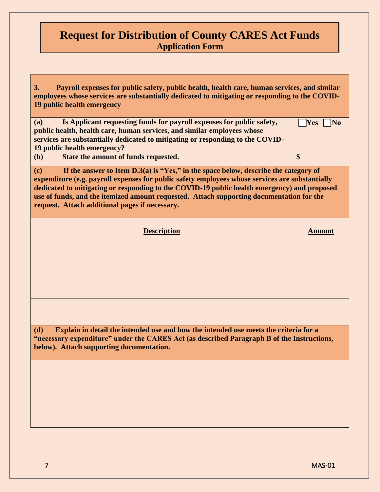| Payroll expenses for public safety, public health, health care, human services, and similar<br><b>3.</b><br>employees whose services are substantially dedicated to mitigating or responding to the COVID-<br>19 public health emergency                                                                                                                                                                                                     |                  |  |
|----------------------------------------------------------------------------------------------------------------------------------------------------------------------------------------------------------------------------------------------------------------------------------------------------------------------------------------------------------------------------------------------------------------------------------------------|------------------|--|
| Is Applicant requesting funds for payroll expenses for public safety,<br>(a)<br>public health, health care, human services, and similar employees whose<br>services are substantially dedicated to mitigating or responding to the COVID-<br>19 public health emergency?                                                                                                                                                                     | <b>No</b><br>Yes |  |
| State the amount of funds requested.<br>(b)                                                                                                                                                                                                                                                                                                                                                                                                  | \$               |  |
| If the answer to Item $D.3(a)$ is "Yes," in the space below, describe the category of<br>(c)<br>expenditure (e.g. payroll expenses for public safety employees whose services are substantially<br>dedicated to mitigating or responding to the COVID-19 public health emergency) and proposed<br>use of funds, and the itemized amount requested. Attach supporting documentation for the<br>request. Attach additional pages if necessary. |                  |  |
| <b>Description</b>                                                                                                                                                                                                                                                                                                                                                                                                                           | <b>Amount</b>    |  |
|                                                                                                                                                                                                                                                                                                                                                                                                                                              |                  |  |
|                                                                                                                                                                                                                                                                                                                                                                                                                                              |                  |  |
|                                                                                                                                                                                                                                                                                                                                                                                                                                              |                  |  |
| (d)<br>Explain in detail the intended use and how the intended use meets the criteria for a<br>"necessary expenditure" under the CARES Act (as described Paragraph B of the Instructions,<br>below). Attach supporting documentation.                                                                                                                                                                                                        |                  |  |
|                                                                                                                                                                                                                                                                                                                                                                                                                                              |                  |  |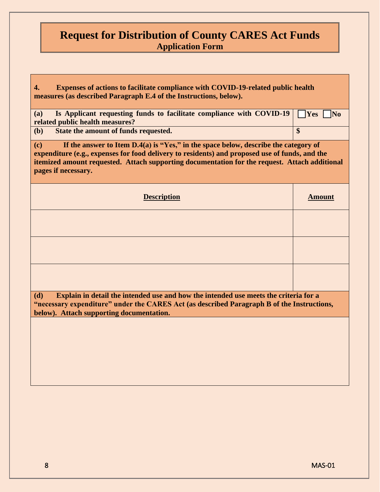| Expenses of actions to facilitate compliance with COVID-19-related public health<br>4.<br>measures (as described Paragraph E.4 of the Instructions, below).                                                                                                                                                            |                                         |  |
|------------------------------------------------------------------------------------------------------------------------------------------------------------------------------------------------------------------------------------------------------------------------------------------------------------------------|-----------------------------------------|--|
| Is Applicant requesting funds to facilitate compliance with COVID-19<br>(a)<br>related public health measures?                                                                                                                                                                                                         | <b>Yes</b><br>$\overline{\mathbf{N}}$ o |  |
| State the amount of funds requested.<br>(b)                                                                                                                                                                                                                                                                            | $\boldsymbol{\$}$                       |  |
| If the answer to Item $D.4(a)$ is "Yes," in the space below, describe the category of<br>(c)<br>expenditure (e.g., expenses for food delivery to residents) and proposed use of funds, and the<br>itemized amount requested. Attach supporting documentation for the request. Attach additional<br>pages if necessary. |                                         |  |
| <b>Description</b>                                                                                                                                                                                                                                                                                                     | <b>Amount</b>                           |  |
|                                                                                                                                                                                                                                                                                                                        |                                         |  |
|                                                                                                                                                                                                                                                                                                                        |                                         |  |
|                                                                                                                                                                                                                                                                                                                        |                                         |  |
| Explain in detail the intended use and how the intended use meets the criteria for a<br>(d)<br>"necessary expenditure" under the CARES Act (as described Paragraph B of the Instructions,<br>below). Attach supporting documentation.                                                                                  |                                         |  |
|                                                                                                                                                                                                                                                                                                                        |                                         |  |
|                                                                                                                                                                                                                                                                                                                        |                                         |  |
|                                                                                                                                                                                                                                                                                                                        |                                         |  |
|                                                                                                                                                                                                                                                                                                                        |                                         |  |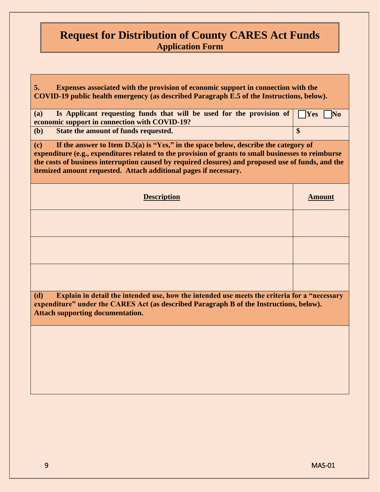| Expenses associated with the provision of economic support in connection with the<br>5.<br>COVID-19 public health emergency (as described Paragraph E.5 of the Instructions, below).                                                                                                                                                                                          |                       |  |  |
|-------------------------------------------------------------------------------------------------------------------------------------------------------------------------------------------------------------------------------------------------------------------------------------------------------------------------------------------------------------------------------|-----------------------|--|--|
| Is Applicant requesting funds that will be used for the provision of<br>(a)<br>economic support in connection with COVID-19?                                                                                                                                                                                                                                                  | Yes<br>$\blacksquare$ |  |  |
| State the amount of funds requested.<br>(b)                                                                                                                                                                                                                                                                                                                                   | \$                    |  |  |
| If the answer to Item $D.5(a)$ is "Yes," in the space below, describe the category of<br>(c)<br>expenditure (e.g., expenditures related to the provision of grants to small businesses to reimburse<br>the costs of business interruption caused by required closures) and proposed use of funds, and the<br>itemized amount requested. Attach additional pages if necessary. |                       |  |  |
| <b>Description</b>                                                                                                                                                                                                                                                                                                                                                            | <b>Amount</b>         |  |  |
|                                                                                                                                                                                                                                                                                                                                                                               |                       |  |  |
|                                                                                                                                                                                                                                                                                                                                                                               |                       |  |  |
|                                                                                                                                                                                                                                                                                                                                                                               |                       |  |  |
| (d)<br>Explain in detail the intended use, how the intended use meets the criteria for a "necessary<br>expenditure" under the CARES Act (as described Paragraph B of the Instructions, below).<br><b>Attach supporting documentation.</b>                                                                                                                                     |                       |  |  |
|                                                                                                                                                                                                                                                                                                                                                                               |                       |  |  |
|                                                                                                                                                                                                                                                                                                                                                                               |                       |  |  |
|                                                                                                                                                                                                                                                                                                                                                                               |                       |  |  |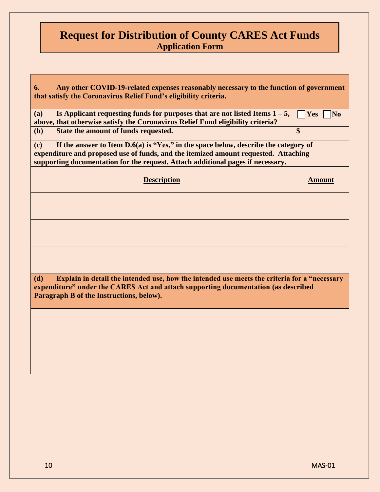| Any other COVID-19-related expenses reasonably necessary to the function of government<br>6.<br>that satisfy the Coronavirus Relief Fund's eligibility criteria.                                                                                                       |                  |  |  |
|------------------------------------------------------------------------------------------------------------------------------------------------------------------------------------------------------------------------------------------------------------------------|------------------|--|--|
| Is Applicant requesting funds for purposes that are not listed Items $1 - 5$ ,<br>(a)<br>above, that otherwise satisfy the Coronavirus Relief Fund eligibility criteria?                                                                                               | No<br><b>Yes</b> |  |  |
| State the amount of funds requested.<br>(b)                                                                                                                                                                                                                            | \$               |  |  |
| If the answer to Item $D.6(a)$ is "Yes," in the space below, describe the category of<br>(c)<br>expenditure and proposed use of funds, and the itemized amount requested. Attaching<br>supporting documentation for the request. Attach additional pages if necessary. |                  |  |  |
| <b>Description</b>                                                                                                                                                                                                                                                     | <b>Amount</b>    |  |  |
|                                                                                                                                                                                                                                                                        |                  |  |  |
|                                                                                                                                                                                                                                                                        |                  |  |  |
|                                                                                                                                                                                                                                                                        |                  |  |  |
| Explain in detail the intended use, how the intended use meets the criteria for a "necessary<br>(d)<br>expenditure" under the CARES Act and attach supporting documentation (as described<br>Paragraph B of the Instructions, below).                                  |                  |  |  |
|                                                                                                                                                                                                                                                                        |                  |  |  |
|                                                                                                                                                                                                                                                                        |                  |  |  |
|                                                                                                                                                                                                                                                                        |                  |  |  |
|                                                                                                                                                                                                                                                                        |                  |  |  |
|                                                                                                                                                                                                                                                                        |                  |  |  |
|                                                                                                                                                                                                                                                                        |                  |  |  |
|                                                                                                                                                                                                                                                                        |                  |  |  |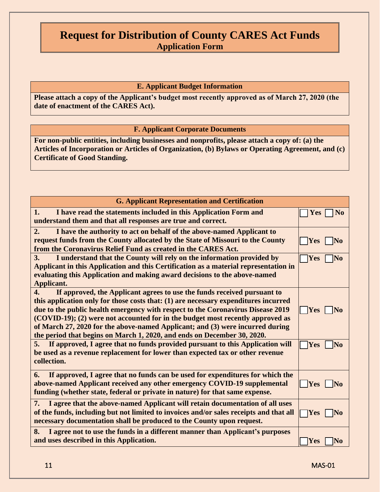### **E. Applicant Budget Information**

**Please attach a copy of the Applicant's budget most recently approved as of March 27, 2020 (the date of enactment of the CARES Act).**

#### **F. Applicant Corporate Documents**

**For non-public entities, including businesses and nonprofits, please attach a copy of: (a) the Articles of Incorporation or Articles of Organization, (b) Bylaws or Operating Agreement, and (c) Certificate of Good Standing.** 

| <b>G. Applicant Representation and Certification</b>                                                                                                                                                                                                                                                                                                                                                                                                                                                              |                               |  |
|-------------------------------------------------------------------------------------------------------------------------------------------------------------------------------------------------------------------------------------------------------------------------------------------------------------------------------------------------------------------------------------------------------------------------------------------------------------------------------------------------------------------|-------------------------------|--|
| I have read the statements included in this Application Form and<br>1.<br>understand them and that all responses are true and correct.                                                                                                                                                                                                                                                                                                                                                                            | N <sub>0</sub><br><b>Yes</b>  |  |
| 2.<br>I have the authority to act on behalf of the above-named Applicant to<br>request funds from the County allocated by the State of Missouri to the County<br>from the Coronavirus Relief Fund as created in the CARES Act.                                                                                                                                                                                                                                                                                    | <b>Yes</b><br>IN <sub>0</sub> |  |
| 3.<br>I understand that the County will rely on the information provided by<br>Applicant in this Application and this Certification as a material representation in<br>evaluating this Application and making award decisions to the above-named<br>Applicant.                                                                                                                                                                                                                                                    | <b>Yes</b><br>$\bf No$        |  |
| If approved, the Applicant agrees to use the funds received pursuant to<br>$\mathbf{4}$ .<br>this application only for those costs that: (1) are necessary expenditures incurred<br>due to the public health emergency with respect to the Coronavirus Disease 2019<br>(COVID-19); (2) were not accounted for in the budget most recently approved as<br>of March 27, 2020 for the above-named Applicant; and (3) were incurred during<br>the period that begins on March 1, 2020, and ends on December 30, 2020. | <b>Yes</b><br> No             |  |
| 5.<br>If approved, I agree that no funds provided pursuant to this Application will<br>be used as a revenue replacement for lower than expected tax or other revenue<br>collection.                                                                                                                                                                                                                                                                                                                               | <b>Yes</b><br>$\bf No$        |  |
| If approved, I agree that no funds can be used for expenditures for which the<br>6.<br>above-named Applicant received any other emergency COVID-19 supplemental<br>funding (whether state, federal or private in nature) for that same expense.                                                                                                                                                                                                                                                                   | Yes<br> No                    |  |
| I agree that the above-named Applicant will retain documentation of all uses<br>7.<br>of the funds, including but not limited to invoices and/or sales receipts and that all<br>necessary documentation shall be produced to the County upon request.                                                                                                                                                                                                                                                             | Yes<br> No                    |  |
| I agree not to use the funds in a different manner than Applicant's purposes<br>8.<br>and uses described in this Application.                                                                                                                                                                                                                                                                                                                                                                                     | Yes<br>$\bf No$               |  |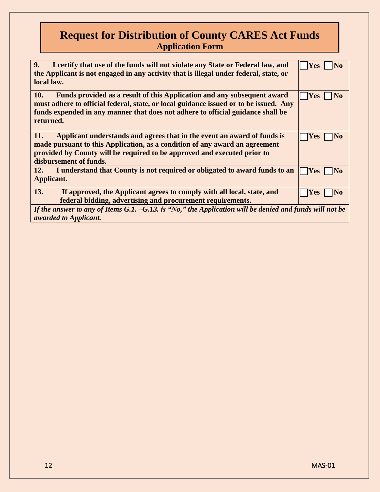| 9.<br>I certify that use of the funds will not violate any State or Federal law, and<br>the Applicant is not engaged in any activity that is illegal under federal, state, or<br>local law.                                                                             | <b>Yes</b><br>N <sub>0</sub> |  |
|-------------------------------------------------------------------------------------------------------------------------------------------------------------------------------------------------------------------------------------------------------------------------|------------------------------|--|
| 10.<br>Funds provided as a result of this Application and any subsequent award<br>must adhere to official federal, state, or local guidance issued or to be issued. Any<br>funds expended in any manner that does not adhere to official guidance shall be<br>returned. | <b>Yes</b><br>N <sub>0</sub> |  |
| Applicant understands and agrees that in the event an award of funds is<br>11.<br>made pursuant to this Application, as a condition of any award an agreement<br>provided by County will be required to be approved and executed prior to<br>disbursement of funds.     | <b>Yes</b><br>N <sub>0</sub> |  |
| I understand that County is not required or obligated to award funds to an<br>12.<br>Applicant.                                                                                                                                                                         | <b>Yes</b><br>INo            |  |
| 13.<br>If approved, the Applicant agrees to comply with all local, state, and<br>federal bidding, advertising and procurement requirements.                                                                                                                             | Yes<br>N <sub>0</sub>        |  |
| If the answer to any of Items G.1. $-G.13$ . is "No," the Application will be denied and funds will not be<br>awarded to Applicant.                                                                                                                                     |                              |  |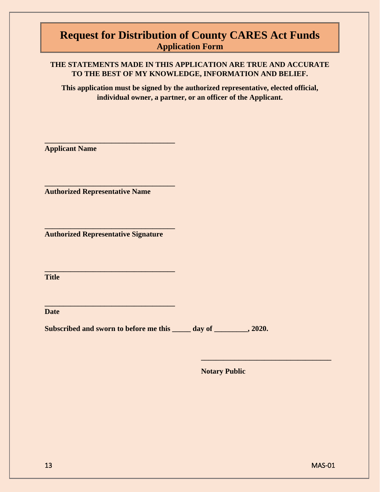### **THE STATEMENTS MADE IN THIS APPLICATION ARE TRUE AND ACCURATE TO THE BEST OF MY KNOWLEDGE, INFORMATION AND BELIEF.**

**This application must be signed by the authorized representative, elected official, individual owner, a partner, or an officer of the Applicant.**

**Applicant Name**

**Authorized Representative Name**

**\_\_\_\_\_\_\_\_\_\_\_\_\_\_\_\_\_\_\_\_\_\_\_\_\_\_\_\_\_\_\_\_\_\_\_**

**\_\_\_\_\_\_\_\_\_\_\_\_\_\_\_\_\_\_\_\_\_\_\_\_\_\_\_\_\_\_\_\_\_\_\_**

**Authorized Representative Signature**

**\_\_\_\_\_\_\_\_\_\_\_\_\_\_\_\_\_\_\_\_\_\_\_\_\_\_\_\_\_\_\_\_\_\_\_**

**\_\_\_\_\_\_\_\_\_\_\_\_\_\_\_\_\_\_\_\_\_\_\_\_\_\_\_\_\_\_\_\_\_\_\_**

**\_\_\_\_\_\_\_\_\_\_\_\_\_\_\_\_\_\_\_\_\_\_\_\_\_\_\_\_\_\_\_\_\_\_\_**

**Title**

**Date**

Subscribed and sworn to before me this \_\_\_\_\_\_ day of \_\_\_\_\_\_\_\_, 2020.

**Notary Public** 

**\_\_\_\_\_\_\_\_\_\_\_\_\_\_\_\_\_\_\_\_\_\_\_\_\_\_\_\_\_\_\_\_\_\_\_**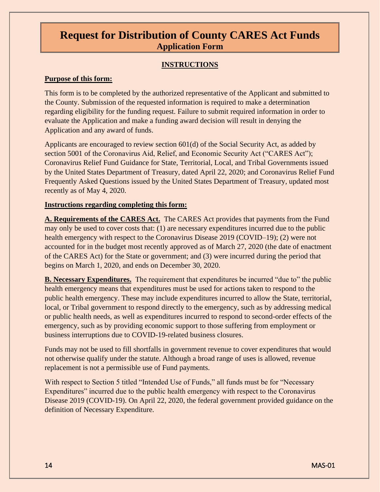### **INSTRUCTIONS**

#### **Purpose of this form:**

This form is to be completed by the authorized representative of the Applicant and submitted to the County. Submission of the requested information is required to make a determination regarding eligibility for the funding request. Failure to submit required information in order to evaluate the Application and make a funding award decision will result in denying the Application and any award of funds.

Applicants are encouraged to review section 601(d) of the Social Security Act, as added by section 5001 of the Coronavirus Aid, Relief, and Economic Security Act ("CARES Act"); Coronavirus Relief Fund Guidance for State, Territorial, Local, and Tribal Governments issued by the United States Department of Treasury, dated April 22, 2020; and Coronavirus Relief Fund Frequently Asked Questions issued by the United States Department of Treasury, updated most recently as of May 4, 2020.

### **Instructions regarding completing this form:**

**A. Requirements of the CARES Act.** The CARES Act provides that payments from the Fund may only be used to cover costs that: (1) are necessary expenditures incurred due to the public health emergency with respect to the Coronavirus Disease 2019 (COVID–19); (2) were not accounted for in the budget most recently approved as of March 27, 2020 (the date of enactment of the CARES Act) for the State or government; and (3) were incurred during the period that begins on March 1, 2020, and ends on December 30, 2020.

**B. Necessary Expenditures.** The requirement that expenditures be incurred "due to" the public health emergency means that expenditures must be used for actions taken to respond to the public health emergency. These may include expenditures incurred to allow the State, territorial, local, or Tribal government to respond directly to the emergency, such as by addressing medical or public health needs, as well as expenditures incurred to respond to second-order effects of the emergency, such as by providing economic support to those suffering from employment or business interruptions due to COVID-19-related business closures.

Funds may not be used to fill shortfalls in government revenue to cover expenditures that would not otherwise qualify under the statute. Although a broad range of uses is allowed, revenue replacement is not a permissible use of Fund payments.

With respect to Section 5 titled "Intended Use of Funds," all funds must be for "Necessary Expenditures" incurred due to the public health emergency with respect to the Coronavirus Disease 2019 (COVID-19). On April 22, 2020, the federal government provided guidance on the definition of Necessary Expenditure.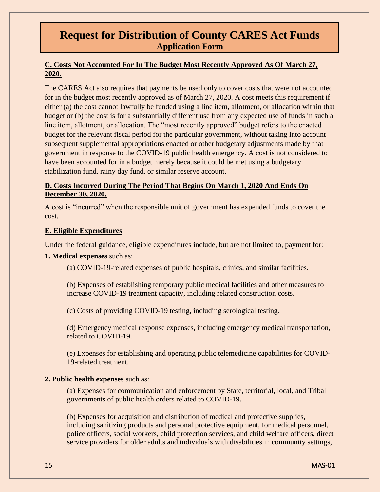### **C. Costs Not Accounted For In The Budget Most Recently Approved As Of March 27, 2020.**

The CARES Act also requires that payments be used only to cover costs that were not accounted for in the budget most recently approved as of March 27, 2020. A cost meets this requirement if either (a) the cost cannot lawfully be funded using a line item, allotment, or allocation within that budget or (b) the cost is for a substantially different use from any expected use of funds in such a line item, allotment, or allocation. The "most recently approved" budget refers to the enacted budget for the relevant fiscal period for the particular government, without taking into account subsequent supplemental appropriations enacted or other budgetary adjustments made by that government in response to the COVID-19 public health emergency. A cost is not considered to have been accounted for in a budget merely because it could be met using a budgetary stabilization fund, rainy day fund, or similar reserve account.

### **D. Costs Incurred During The Period That Begins On March 1, 2020 And Ends On December 30, 2020.**

A cost is "incurred" when the responsible unit of government has expended funds to cover the cost.

### **E. Eligible Expenditures**

Under the federal guidance, eligible expenditures include, but are not limited to, payment for:

#### **1. Medical expenses** such as:

(a) COVID-19-related expenses of public hospitals, clinics, and similar facilities.

(b) Expenses of establishing temporary public medical facilities and other measures to increase COVID-19 treatment capacity, including related construction costs.

(c) Costs of providing COVID-19 testing, including serological testing.

(d) Emergency medical response expenses, including emergency medical transportation, related to COVID-19.

(e) Expenses for establishing and operating public telemedicine capabilities for COVID-19-related treatment.

#### **2. Public health expenses** such as:

(a) Expenses for communication and enforcement by State, territorial, local, and Tribal governments of public health orders related to COVID-19.

(b) Expenses for acquisition and distribution of medical and protective supplies, including sanitizing products and personal protective equipment, for medical personnel, police officers, social workers, child protection services, and child welfare officers, direct service providers for older adults and individuals with disabilities in community settings,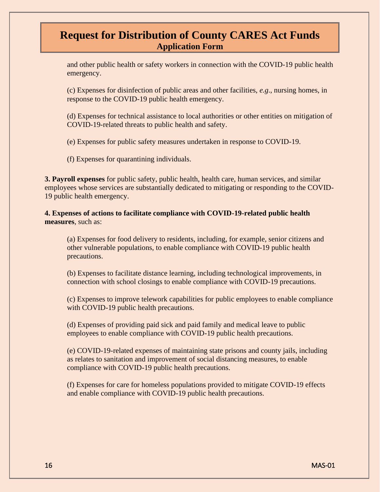and other public health or safety workers in connection with the COVID-19 public health emergency.

(c) Expenses for disinfection of public areas and other facilities, *e.g*., nursing homes, in response to the COVID-19 public health emergency.

(d) Expenses for technical assistance to local authorities or other entities on mitigation of COVID-19-related threats to public health and safety.

(e) Expenses for public safety measures undertaken in response to COVID-19.

(f) Expenses for quarantining individuals.

**3. Payroll expenses** for public safety, public health, health care, human services, and similar employees whose services are substantially dedicated to mitigating or responding to the COVID-19 public health emergency.

**4. Expenses of actions to facilitate compliance with COVID-19-related public health measures**, such as:

(a) Expenses for food delivery to residents, including, for example, senior citizens and other vulnerable populations, to enable compliance with COVID-19 public health precautions.

(b) Expenses to facilitate distance learning, including technological improvements, in connection with school closings to enable compliance with COVID-19 precautions.

(c) Expenses to improve telework capabilities for public employees to enable compliance with COVID-19 public health precautions.

(d) Expenses of providing paid sick and paid family and medical leave to public employees to enable compliance with COVID-19 public health precautions.

(e) COVID-19-related expenses of maintaining state prisons and county jails, including as relates to sanitation and improvement of social distancing measures, to enable compliance with COVID-19 public health precautions.

(f) Expenses for care for homeless populations provided to mitigate COVID-19 effects and enable compliance with COVID-19 public health precautions.